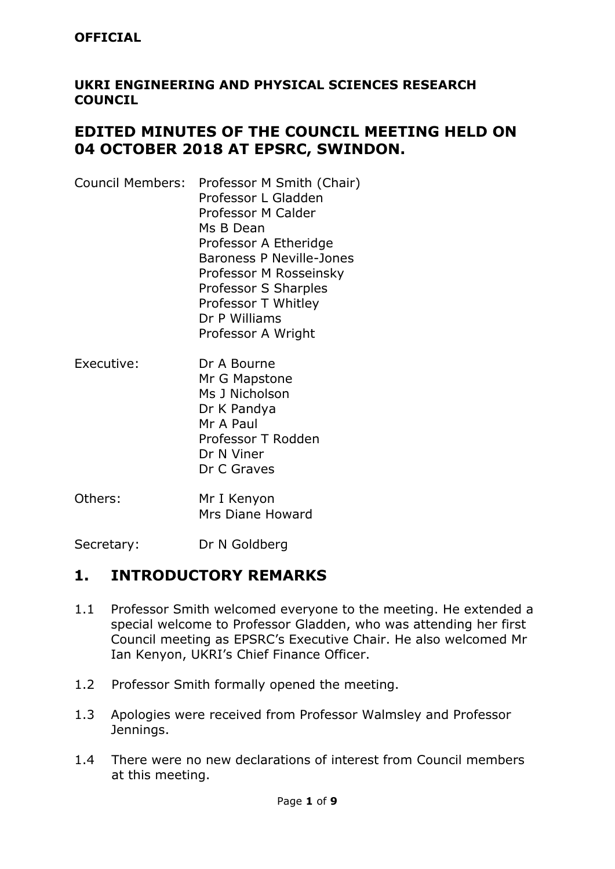### **UKRI ENGINEERING AND PHYSICAL SCIENCES RESEARCH COUNCIL**

## **EDITED MINUTES OF THE COUNCIL MEETING HELD ON 04 OCTOBER 2018 AT EPSRC, SWINDON.**

| Professor L Gladden             |
|---------------------------------|
|                                 |
| <b>Professor M Calder</b>       |
| Ms B Dean                       |
| Professor A Etheridge           |
| <b>Baroness P Neville-Jones</b> |
| Professor M Rosseinsky          |
| Professor S Sharples            |
| Professor T Whitley             |
| Dr P Williams                   |
| Professor A Wright              |
|                                 |

- Executive: Dr A Bourne Mr G Mapstone Ms J Nicholson Dr K Pandya Mr A Paul Professor T Rodden Dr N Viner Dr C Graves
- Others: Mr I Kenyon Mrs Diane Howard

Secretary: Dr N Goldberg

## **1. INTRODUCTORY REMARKS**

- 1.1 Professor Smith welcomed everyone to the meeting. He extended a special welcome to Professor Gladden, who was attending her first Council meeting as EPSRC's Executive Chair. He also welcomed Mr Ian Kenyon, UKRI's Chief Finance Officer.
- 1.2 Professor Smith formally opened the meeting.
- 1.3 Apologies were received from Professor Walmsley and Professor Jennings.
- 1.4 There were no new declarations of interest from Council members at this meeting.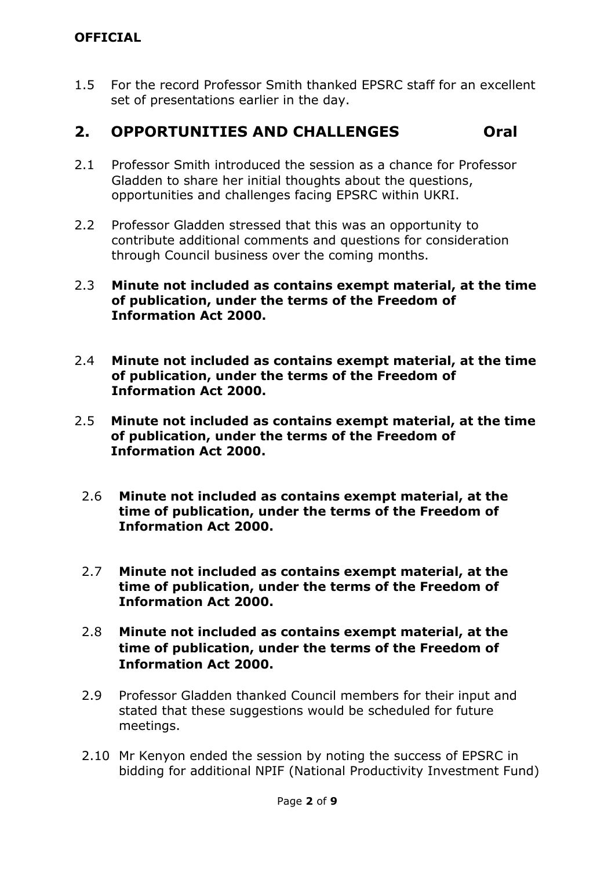### **OFFICIAL**

1.5 For the record Professor Smith thanked EPSRC staff for an excellent set of presentations earlier in the day.

## **2. OPPORTUNITIES AND CHALLENGES Oral**

- 2.1 Professor Smith introduced the session as a chance for Professor Gladden to share her initial thoughts about the questions, opportunities and challenges facing EPSRC within UKRI.
- 2.2 Professor Gladden stressed that this was an opportunity to contribute additional comments and questions for consideration through Council business over the coming months.
- 2.3 **Minute not included as contains exempt material, at the time of publication, under the terms of the Freedom of Information Act 2000.**
- 2.4 **Minute not included as contains exempt material, at the time of publication, under the terms of the Freedom of Information Act 2000.**
- 2.5 **Minute not included as contains exempt material, at the time of publication, under the terms of the Freedom of Information Act 2000.**
	- 2.6 **Minute not included as contains exempt material, at the time of publication, under the terms of the Freedom of Information Act 2000.**
	- 2.7 **Minute not included as contains exempt material, at the time of publication, under the terms of the Freedom of Information Act 2000.**
	- 2.8 **Minute not included as contains exempt material, at the time of publication, under the terms of the Freedom of Information Act 2000.**
	- 2.9 Professor Gladden thanked Council members for their input and stated that these suggestions would be scheduled for future meetings.
	- 2.10 Mr Kenyon ended the session by noting the success of EPSRC in bidding for additional NPIF (National Productivity Investment Fund)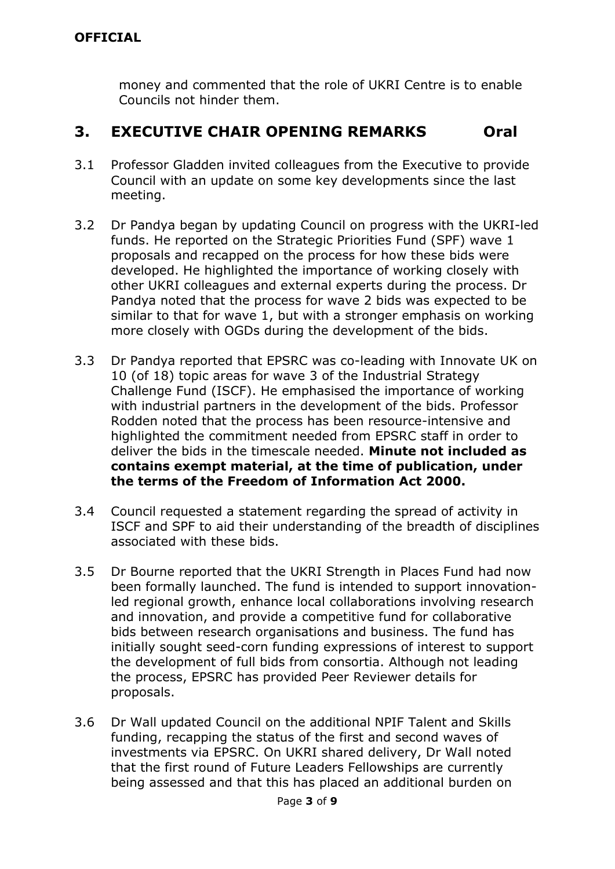money and commented that the role of UKRI Centre is to enable Councils not hinder them.

## **3. EXECUTIVE CHAIR OPENING REMARKS Oral**

- 3.1 Professor Gladden invited colleagues from the Executive to provide Council with an update on some key developments since the last meeting.
- 3.2 Dr Pandya began by updating Council on progress with the UKRI-led funds. He reported on the Strategic Priorities Fund (SPF) wave 1 proposals and recapped on the process for how these bids were developed. He highlighted the importance of working closely with other UKRI colleagues and external experts during the process. Dr Pandya noted that the process for wave 2 bids was expected to be similar to that for wave 1, but with a stronger emphasis on working more closely with OGDs during the development of the bids.
- 3.3 Dr Pandya reported that EPSRC was co-leading with Innovate UK on 10 (of 18) topic areas for wave 3 of the Industrial Strategy Challenge Fund (ISCF). He emphasised the importance of working with industrial partners in the development of the bids. Professor Rodden noted that the process has been resource-intensive and highlighted the commitment needed from EPSRC staff in order to deliver the bids in the timescale needed. **Minute not included as contains exempt material, at the time of publication, under the terms of the Freedom of Information Act 2000.**
- 3.4 Council requested a statement regarding the spread of activity in ISCF and SPF to aid their understanding of the breadth of disciplines associated with these bids.
- 3.5 Dr Bourne reported that the UKRI Strength in Places Fund had now been formally launched. The fund is intended to support innovationled regional growth, enhance local collaborations involving research and innovation, and provide a competitive fund for collaborative bids between research organisations and business. The fund has initially sought seed-corn funding expressions of interest to support the development of full bids from consortia. Although not leading the process, EPSRC has provided Peer Reviewer details for proposals.
- 3.6 Dr Wall updated Council on the additional NPIF Talent and Skills funding, recapping the status of the first and second waves of investments via EPSRC. On UKRI shared delivery, Dr Wall noted that the first round of Future Leaders Fellowships are currently being assessed and that this has placed an additional burden on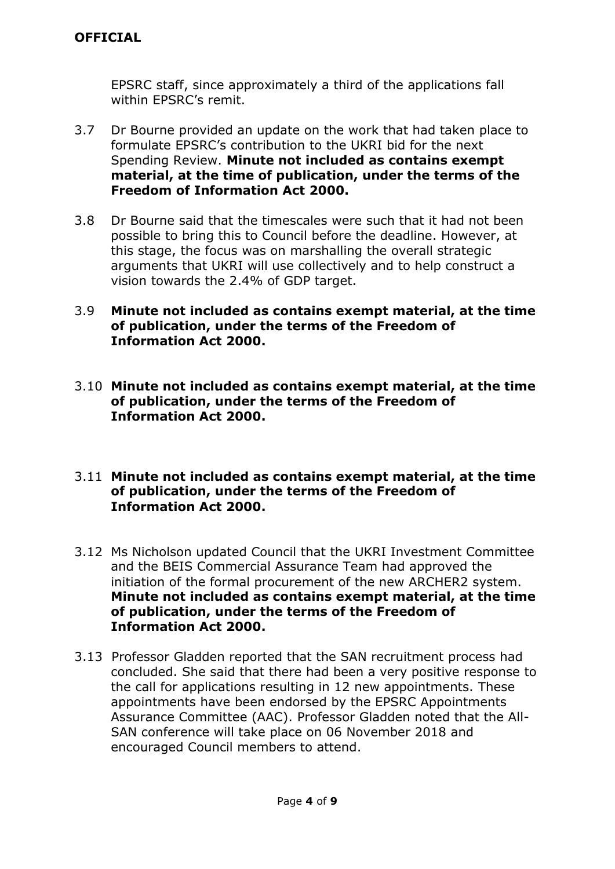EPSRC staff, since approximately a third of the applications fall within EPSRC's remit.

- 3.7 Dr Bourne provided an update on the work that had taken place to formulate EPSRC's contribution to the UKRI bid for the next Spending Review. **Minute not included as contains exempt material, at the time of publication, under the terms of the Freedom of Information Act 2000.**
- 3.8 Dr Bourne said that the timescales were such that it had not been possible to bring this to Council before the deadline. However, at this stage, the focus was on marshalling the overall strategic arguments that UKRI will use collectively and to help construct a vision towards the 2.4% of GDP target.
- 3.9 **Minute not included as contains exempt material, at the time of publication, under the terms of the Freedom of Information Act 2000.**
- 3.10 **Minute not included as contains exempt material, at the time of publication, under the terms of the Freedom of Information Act 2000.**
- 3.11 **Minute not included as contains exempt material, at the time of publication, under the terms of the Freedom of Information Act 2000.**
- 3.12 Ms Nicholson updated Council that the UKRI Investment Committee and the BEIS Commercial Assurance Team had approved the initiation of the formal procurement of the new ARCHER2 system. **Minute not included as contains exempt material, at the time of publication, under the terms of the Freedom of Information Act 2000.**
- 3.13 Professor Gladden reported that the SAN recruitment process had concluded. She said that there had been a very positive response to the call for applications resulting in 12 new appointments. These appointments have been endorsed by the EPSRC Appointments Assurance Committee (AAC). Professor Gladden noted that the All-SAN conference will take place on 06 November 2018 and encouraged Council members to attend.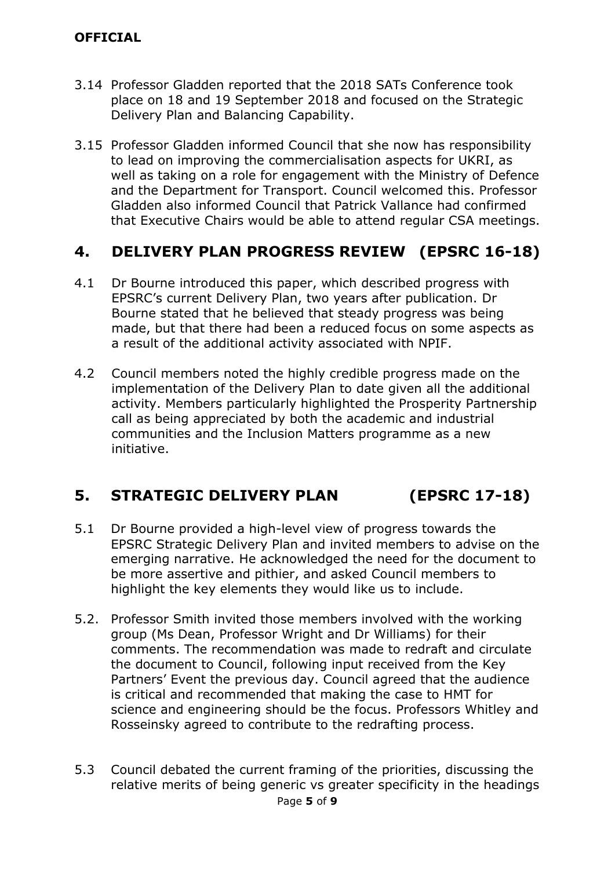### **OFFICIAL**

- 3.14 Professor Gladden reported that the 2018 SATs Conference took place on 18 and 19 September 2018 and focused on the Strategic Delivery Plan and Balancing Capability.
- 3.15 Professor Gladden informed Council that she now has responsibility to lead on improving the commercialisation aspects for UKRI, as well as taking on a role for engagement with the Ministry of Defence and the Department for Transport. Council welcomed this. Professor Gladden also informed Council that Patrick Vallance had confirmed that Executive Chairs would be able to attend regular CSA meetings.

# **4. DELIVERY PLAN PROGRESS REVIEW (EPSRC 16-18)**

- 4.1 Dr Bourne introduced this paper, which described progress with EPSRC's current Delivery Plan, two years after publication. Dr Bourne stated that he believed that steady progress was being made, but that there had been a reduced focus on some aspects as a result of the additional activity associated with NPIF.
- 4.2 Council members noted the highly credible progress made on the implementation of the Delivery Plan to date given all the additional activity. Members particularly highlighted the Prosperity Partnership call as being appreciated by both the academic and industrial communities and the Inclusion Matters programme as a new initiative.

# **5. STRATEGIC DELIVERY PLAN (EPSRC 17-18)**

- 5.1 Dr Bourne provided a high-level view of progress towards the EPSRC Strategic Delivery Plan and invited members to advise on the emerging narrative. He acknowledged the need for the document to be more assertive and pithier, and asked Council members to highlight the key elements they would like us to include.
- 5.2. Professor Smith invited those members involved with the working group (Ms Dean, Professor Wright and Dr Williams) for their comments. The recommendation was made to redraft and circulate the document to Council, following input received from the Key Partners' Event the previous day. Council agreed that the audience is critical and recommended that making the case to HMT for science and engineering should be the focus. Professors Whitley and Rosseinsky agreed to contribute to the redrafting process.
- 5.3 Council debated the current framing of the priorities, discussing the relative merits of being generic vs greater specificity in the headings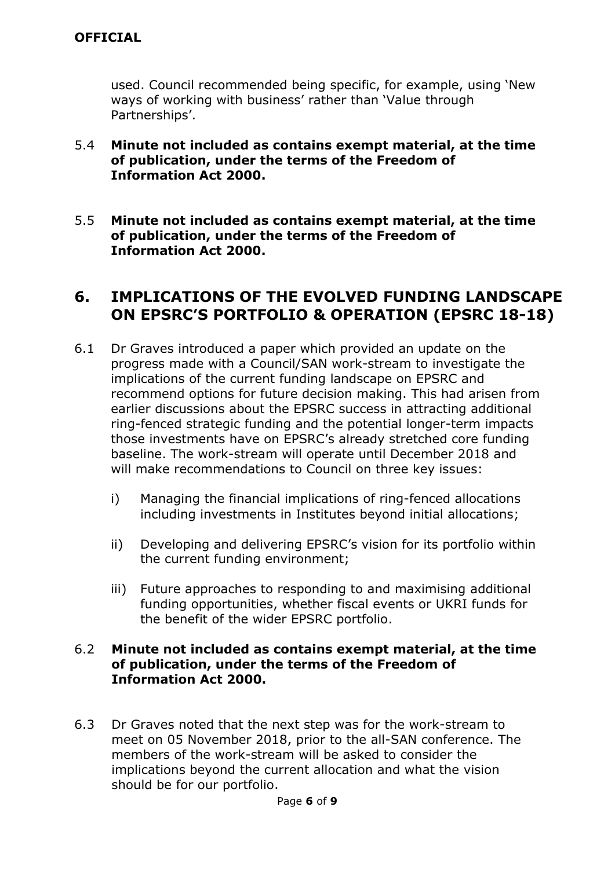used. Council recommended being specific, for example, using 'New ways of working with business' rather than 'Value through Partnerships'.

- 5.4 **Minute not included as contains exempt material, at the time of publication, under the terms of the Freedom of Information Act 2000.**
- 5.5 **Minute not included as contains exempt material, at the time of publication, under the terms of the Freedom of Information Act 2000.**

## **6. IMPLICATIONS OF THE EVOLVED FUNDING LANDSCAPE ON EPSRC'S PORTFOLIO & OPERATION (EPSRC 18-18)**

- 6.1 Dr Graves introduced a paper which provided an update on the progress made with a Council/SAN work-stream to investigate the implications of the current funding landscape on EPSRC and recommend options for future decision making. This had arisen from earlier discussions about the EPSRC success in attracting additional ring-fenced strategic funding and the potential longer-term impacts those investments have on EPSRC's already stretched core funding baseline. The work-stream will operate until December 2018 and will make recommendations to Council on three key issues:
	- i) Managing the financial implications of ring-fenced allocations including investments in Institutes beyond initial allocations;
	- ii) Developing and delivering EPSRC's vision for its portfolio within the current funding environment;
	- iii) Future approaches to responding to and maximising additional funding opportunities, whether fiscal events or UKRI funds for the benefit of the wider EPSRC portfolio.

#### 6.2 **Minute not included as contains exempt material, at the time of publication, under the terms of the Freedom of Information Act 2000.**

6.3 Dr Graves noted that the next step was for the work-stream to meet on 05 November 2018, prior to the all-SAN conference. The members of the work-stream will be asked to consider the implications beyond the current allocation and what the vision should be for our portfolio.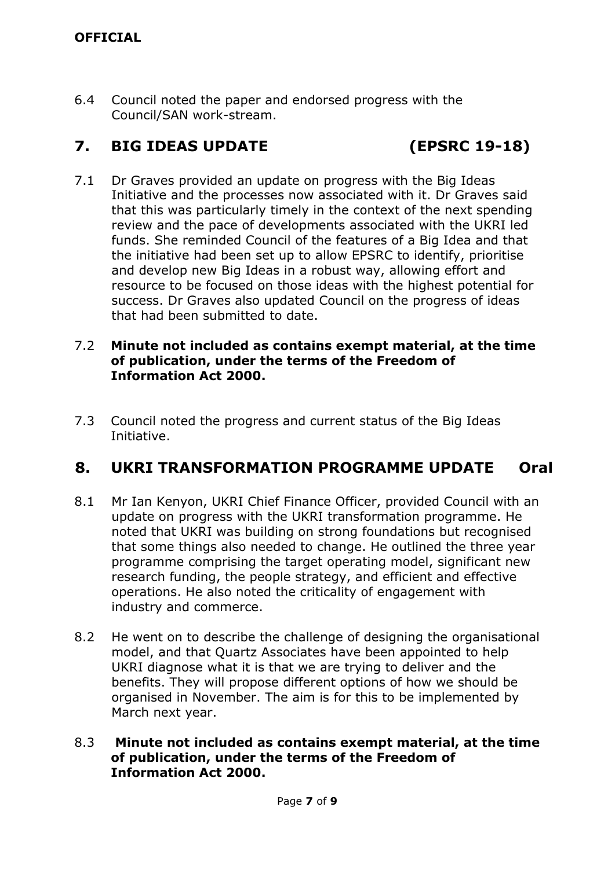6.4 Council noted the paper and endorsed progress with the Council/SAN work-stream.

# **7. BIG IDEAS UPDATE (EPSRC 19-18)**

7.1 Dr Graves provided an update on progress with the Big Ideas Initiative and the processes now associated with it. Dr Graves said that this was particularly timely in the context of the next spending review and the pace of developments associated with the UKRI led funds. She reminded Council of the features of a Big Idea and that the initiative had been set up to allow EPSRC to identify, prioritise and develop new Big Ideas in a robust way, allowing effort and resource to be focused on those ideas with the highest potential for success. Dr Graves also updated Council on the progress of ideas that had been submitted to date.

#### 7.2 **Minute not included as contains exempt material, at the time of publication, under the terms of the Freedom of Information Act 2000.**

7.3 Council noted the progress and current status of the Big Ideas Initiative.

# **8. UKRI TRANSFORMATION PROGRAMME UPDATE Oral**

- 8.1 Mr Ian Kenyon, UKRI Chief Finance Officer, provided Council with an update on progress with the UKRI transformation programme. He noted that UKRI was building on strong foundations but recognised that some things also needed to change. He outlined the three year programme comprising the target operating model, significant new research funding, the people strategy, and efficient and effective operations. He also noted the criticality of engagement with industry and commerce.
- 8.2 He went on to describe the challenge of designing the organisational model, and that Quartz Associates have been appointed to help UKRI diagnose what it is that we are trying to deliver and the benefits. They will propose different options of how we should be organised in November. The aim is for this to be implemented by March next year.
- 8.3 **Minute not included as contains exempt material, at the time of publication, under the terms of the Freedom of Information Act 2000.**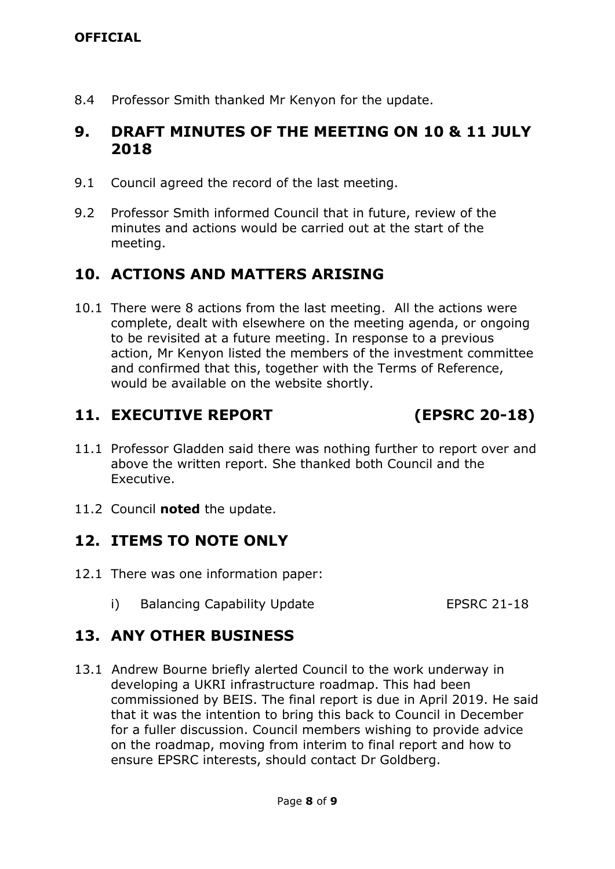8.4 Professor Smith thanked Mr Kenyon for the update.

## **9. DRAFT MINUTES OF THE MEETING ON 10 & 11 JULY 2018**

- 9.1 Council agreed the record of the last meeting.
- 9.2 Professor Smith informed Council that in future, review of the minutes and actions would be carried out at the start of the meeting.

# **10. ACTIONS AND MATTERS ARISING**

10.1 There were 8 actions from the last meeting. All the actions were complete, dealt with elsewhere on the meeting agenda, or ongoing to be revisited at a future meeting. In response to a previous action, Mr Kenyon listed the members of the investment committee and confirmed that this, together with the Terms of Reference, would be available on the website shortly.

## **11. EXECUTIVE REPORT (EPSRC 20-18)**

- 11.1 Professor Gladden said there was nothing further to report over and above the written report. She thanked both Council and the Executive.
- 11.2 Council **noted** the update.

## **12. ITEMS TO NOTE ONLY**

- 12.1 There was one information paper:
	- i) Balancing Capability Update EPSRC 21-18

## **13. ANY OTHER BUSINESS**

13.1 Andrew Bourne briefly alerted Council to the work underway in developing a UKRI infrastructure roadmap. This had been commissioned by BEIS. The final report is due in April 2019. He said that it was the intention to bring this back to Council in December for a fuller discussion. Council members wishing to provide advice on the roadmap, moving from interim to final report and how to ensure EPSRC interests, should contact Dr Goldberg.